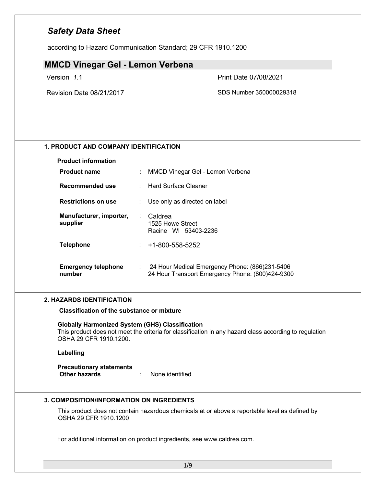according to Hazard Communication Standard; 29 CFR 1910.1200

### **MMCD Vinegar Gel - Lemon Verbena**

Version *1*.1 Print Date 07/08/2021

Revision Date 08/21/2017 SDS Number 350000029318

### **1. PRODUCT AND COMPANY IDENTIFICATION**

| <b>Product information</b>           |    |                                                                                                      |
|--------------------------------------|----|------------------------------------------------------------------------------------------------------|
| <b>Product name</b>                  | ÷. | MMCD Vinegar Gel - Lemon Verbena                                                                     |
| Recommended use                      |    | : Hard Surface Cleaner                                                                               |
| <b>Restrictions on use</b>           |    | Use only as directed on label                                                                        |
| Manufacturer, importer,<br>supplier  |    | : Caldrea<br>1525 Howe Street<br>Racine WI 53403-2236                                                |
| <b>Telephone</b>                     |    | $+1-800-558-5252$                                                                                    |
| <b>Emergency telephone</b><br>number |    | : 24 Hour Medical Emergency Phone: (866)231-5406<br>24 Hour Transport Emergency Phone: (800)424-9300 |

#### **2. HAZARDS IDENTIFICATION**

**Classification of the substance or mixture**

**Globally Harmonized System (GHS) Classification** This product does not meet the criteria for classification in any hazard class according to regulation OSHA 29 CFR 1910.1200.

**Labelling**

**Precautionary statements Other hazards** : None identified

### **3. COMPOSITION/INFORMATION ON INGREDIENTS**

This product does not contain hazardous chemicals at or above a reportable level as defined by OSHA 29 CFR 1910.1200

For additional information on product ingredients, see www.caldrea.com.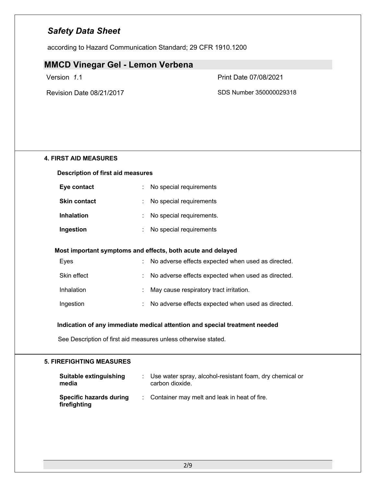according to Hazard Communication Standard; 29 CFR 1910.1200

### **MMCD Vinegar Gel - Lemon Verbena**

Version *1*.1 Print Date 07/08/2021

Revision Date 08/21/2017 SDS Number 350000029318

### **4. FIRST AID MEASURES**

#### **Description of first aid measures**

| Eye contact         | : No special requirements  |
|---------------------|----------------------------|
| <b>Skin contact</b> | : No special requirements  |
| <b>Inhalation</b>   | : No special requirements. |
| Ingestion           | : No special requirements  |

#### **Most important symptoms and effects, both acute and delayed**

| Eyes              | : No adverse effects expected when used as directed. |
|-------------------|------------------------------------------------------|
| Skin effect       | : No adverse effects expected when used as directed. |
| <b>Inhalation</b> | : May cause respiratory tract irritation.            |
| Ingestion         | : No adverse effects expected when used as directed. |

### **Indication of any immediate medical attention and special treatment needed**

See Description of first aid measures unless otherwise stated.

### **5. FIREFIGHTING MEASURES**

| Suitable extinguishing<br>media         | Use water spray, alcohol-resistant foam, dry chemical or<br>carbon dioxide. |
|-----------------------------------------|-----------------------------------------------------------------------------|
| Specific hazards during<br>firefighting | : Container may melt and leak in heat of fire.                              |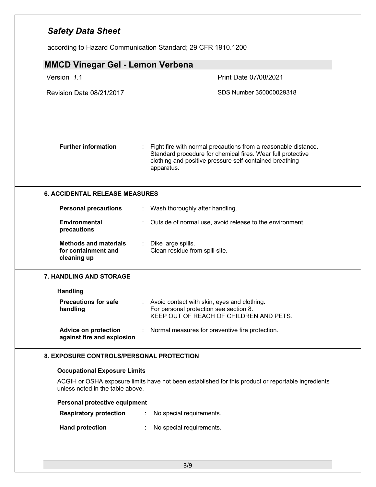| <b>MMCD Vinegar Gel - Lemon Verbena</b>                            |                                                                                                                                                                                                        |
|--------------------------------------------------------------------|--------------------------------------------------------------------------------------------------------------------------------------------------------------------------------------------------------|
| Version 1.1                                                        | Print Date 07/08/2021                                                                                                                                                                                  |
|                                                                    |                                                                                                                                                                                                        |
| Revision Date 08/21/2017                                           | SDS Number 350000029318                                                                                                                                                                                |
| <b>Further information</b>                                         | Fight fire with normal precautions from a reasonable distance.<br>Standard procedure for chemical fires. Wear full protective<br>clothing and positive pressure self-contained breathing<br>apparatus. |
| <b>6. ACCIDENTAL RELEASE MEASURES</b>                              |                                                                                                                                                                                                        |
| <b>Personal precautions</b>                                        | : Wash thoroughly after handling.                                                                                                                                                                      |
| <b>Environmental</b><br>precautions                                | Outside of normal use, avoid release to the environment.                                                                                                                                               |
| <b>Methods and materials</b><br>for containment and<br>cleaning up | Dike large spills.<br>Clean residue from spill site.                                                                                                                                                   |
| <b>7. HANDLING AND STORAGE</b>                                     |                                                                                                                                                                                                        |
| <b>Handling</b>                                                    |                                                                                                                                                                                                        |
| <b>Precautions for safe</b><br>handling                            | Avoid contact with skin, eyes and clothing.<br>For personal protection see section 8.<br>KEEP OUT OF REACH OF CHILDREN AND PETS.                                                                       |
| <b>Advice on protection</b><br>against fire and explosion          | Normal measures for preventive fire protection.                                                                                                                                                        |
| 8. EXPOSURE CONTROLS/PERSONAL PROTECTION                           |                                                                                                                                                                                                        |
| <b>Occupational Exposure Limits</b>                                |                                                                                                                                                                                                        |
| unless noted in the table above.                                   | ACGIH or OSHA exposure limits have not been established for this product or reportable ingredients                                                                                                     |
| Personal protective equipment                                      |                                                                                                                                                                                                        |
| <b>Respiratory protection</b>                                      | No special requirements.<br>÷                                                                                                                                                                          |
| <b>Hand protection</b>                                             | No special requirements.                                                                                                                                                                               |
|                                                                    |                                                                                                                                                                                                        |
|                                                                    |                                                                                                                                                                                                        |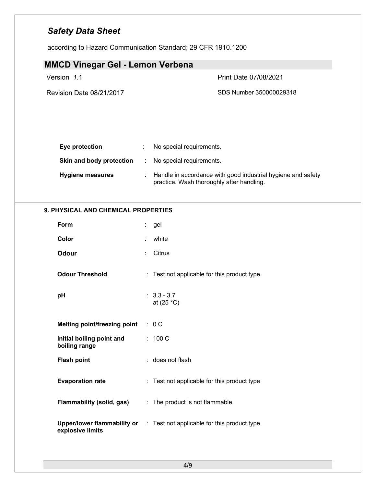| Version 1.1                                |   |                                                                                                           | Print Date 07/08/2021   |
|--------------------------------------------|---|-----------------------------------------------------------------------------------------------------------|-------------------------|
| Revision Date 08/21/2017                   |   |                                                                                                           | SDS Number 350000029318 |
| Eye protection                             | ÷ | No special requirements.                                                                                  |                         |
| Skin and body protection                   | ÷ | No special requirements.                                                                                  |                         |
| <b>Hygiene measures</b>                    | ÷ | Handle in accordance with good industrial hygiene and safety<br>practice. Wash thoroughly after handling. |                         |
| 9. PHYSICAL AND CHEMICAL PROPERTIES        |   |                                                                                                           |                         |
| Form                                       |   | gel                                                                                                       |                         |
| Color                                      |   | white                                                                                                     |                         |
| <b>Odour</b>                               |   | Citrus                                                                                                    |                         |
| <b>Odour Threshold</b>                     |   | : Test not applicable for this product type                                                               |                         |
| pH                                         |   | $: 3.3 - 3.7$<br>at $(25 °C)$                                                                             |                         |
| <b>Melting point/freezing point</b>        |   | 0C                                                                                                        |                         |
| Initial boiling point and<br>boiling range |   | : 100 C                                                                                                   |                         |
| <b>Flash point</b>                         |   | : does not flash                                                                                          |                         |
| <b>Evaporation rate</b>                    |   | : Test not applicable for this product type                                                               |                         |
| Flammability (solid, gas)                  |   | : The product is not flammable.                                                                           |                         |
| explosive limits                           |   | Upper/lower flammability or : Test not applicable for this product type                                   |                         |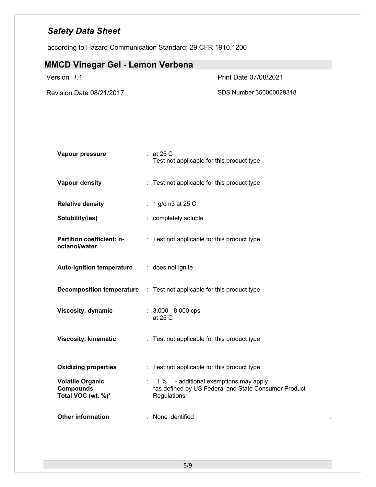| <b>MMCD Vinegar Gel - Lemon Verbena</b>                           |                                                                                                               |
|-------------------------------------------------------------------|---------------------------------------------------------------------------------------------------------------|
| Version 1.1                                                       | Print Date 07/08/2021                                                                                         |
| Revision Date 08/21/2017                                          | SDS Number 350000029318                                                                                       |
|                                                                   |                                                                                                               |
|                                                                   |                                                                                                               |
| Vapour pressure                                                   | $:$ at 25 C<br>Test not applicable for this product type                                                      |
| Vapour density                                                    | : Test not applicable for this product type                                                                   |
| <b>Relative density</b>                                           | : 1 g/cm3 at $25 C$                                                                                           |
| Solubility(ies)                                                   | : completely soluble                                                                                          |
| Partition coefficient: n-<br>octanol/water                        | : Test not applicable for this product type                                                                   |
| <b>Auto-ignition temperature</b>                                  | : does not ignite                                                                                             |
|                                                                   | <b>Decomposition temperature</b> : Test not applicable for this product type                                  |
| Viscosity, dynamic                                                | $: 3,000 - 8,000$ cps<br>at 25 C                                                                              |
| <b>Viscosity, kinematic</b>                                       | : Test not applicable for this product type                                                                   |
| <b>Oxidizing properties</b>                                       | : Test not applicable for this product type                                                                   |
| <b>Volatile Organic</b><br><b>Compounds</b><br>Total VOC (wt. %)* | : 1% - additional exemptions may apply<br>*as defined by US Federal and State Consumer Product<br>Regulations |
| <b>Other information</b>                                          | : None identified                                                                                             |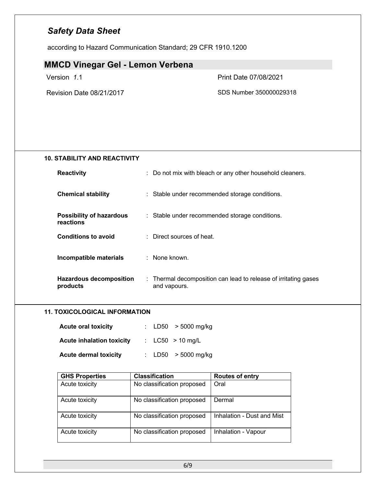according to Hazard Communication Standard; 29 CFR 1910.1200

## **MMCD Vinegar Gel - Lemon Verbena**

Version *1*.1 Print Date 07/08/2021

Revision Date 08/21/2017 SDS Number 350000029318

### **10. STABILITY AND REACTIVITY**

| <b>Reactivity</b>                            | : Do not mix with bleach or any other household cleaners.                       |
|----------------------------------------------|---------------------------------------------------------------------------------|
| <b>Chemical stability</b>                    | : Stable under recommended storage conditions.                                  |
| <b>Possibility of hazardous</b><br>reactions | : Stable under recommended storage conditions.                                  |
| <b>Conditions to avoid</b>                   | $\therefore$ Direct sources of heat.                                            |
| Incompatible materials                       | : None known.                                                                   |
| <b>Hazardous decomposition</b><br>products   | : Thermal decomposition can lead to release of irritating gases<br>and vapours. |

### **11. TOXICOLOGICAL INFORMATION**

| <b>Acute oral toxicity</b>       |  | : $LD50 > 5000$ mg/kg |
|----------------------------------|--|-----------------------|
| <b>Acute inhalation toxicity</b> |  | : $LC50 > 10$ mg/L    |
| <b>Acute dermal toxicity</b>     |  | : LD50 $>$ 5000 mg/kg |

| <b>GHS Properties</b> | <b>Classification</b>      | <b>Routes of entry</b>     |
|-----------------------|----------------------------|----------------------------|
| Acute toxicity        | No classification proposed | Oral                       |
| Acute toxicity        | No classification proposed | Dermal                     |
| Acute toxicity        | No classification proposed | Inhalation - Dust and Mist |
| Acute toxicity        | No classification proposed | Inhalation - Vapour        |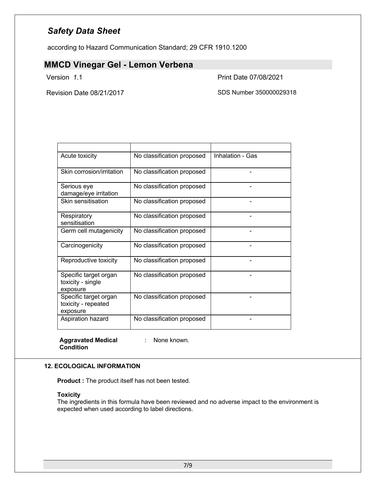according to Hazard Communication Standard; 29 CFR 1910.1200

### **MMCD Vinegar Gel - Lemon Verbena**

Version *1*.1 Print Date 07/08/2021

Revision Date 08/21/2017 SDS Number 350000029318

| Acute toxicity                                           | No classification proposed | Inhalation - Gas |
|----------------------------------------------------------|----------------------------|------------------|
| Skin corrosion/irritation                                | No classification proposed |                  |
| Serious eye<br>damage/eye irritation                     | No classification proposed |                  |
| Skin sensitisation                                       | No classification proposed |                  |
| Respiratory<br>sensitisation                             | No classification proposed |                  |
| Germ cell mutagenicity                                   | No classification proposed |                  |
| Carcinogenicity                                          | No classification proposed |                  |
| Reproductive toxicity                                    | No classification proposed |                  |
| Specific target organ<br>toxicity - single<br>exposure   | No classification proposed |                  |
| Specific target organ<br>toxicity - repeated<br>exposure | No classification proposed |                  |
| Aspiration hazard                                        | No classification proposed |                  |

**Aggravated Medical Condition**

: None known.

### **12. ECOLOGICAL INFORMATION**

**Product :** The product itself has not been tested.

#### **Toxicity**

The ingredients in this formula have been reviewed and no adverse impact to the environment is expected when used according to label directions.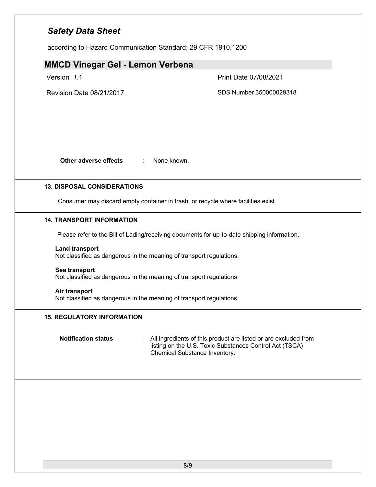| <b>MMCD Vinegar Gel - Lemon Verbena</b>                                                       |                                           |                                                                                                                            |
|-----------------------------------------------------------------------------------------------|-------------------------------------------|----------------------------------------------------------------------------------------------------------------------------|
| Version 1.1                                                                                   |                                           | Print Date 07/08/2021                                                                                                      |
| <b>Revision Date 08/21/2017</b>                                                               |                                           | SDS Number 350000029318                                                                                                    |
|                                                                                               |                                           |                                                                                                                            |
|                                                                                               |                                           |                                                                                                                            |
|                                                                                               |                                           |                                                                                                                            |
| Other adverse effects                                                                         | None known.<br>$\mathcal{L}^{\text{max}}$ |                                                                                                                            |
| <b>13. DISPOSAL CONSIDERATIONS</b>                                                            |                                           |                                                                                                                            |
|                                                                                               |                                           | Consumer may discard empty container in trash, or recycle where facilities exist.                                          |
| <b>14. TRANSPORT INFORMATION</b>                                                              |                                           |                                                                                                                            |
|                                                                                               |                                           | Please refer to the Bill of Lading/receiving documents for up-to-date shipping information.                                |
| <b>Land transport</b><br>Not classified as dangerous in the meaning of transport regulations. |                                           |                                                                                                                            |
| Sea transport<br>Not classified as dangerous in the meaning of transport regulations.         |                                           |                                                                                                                            |
| Air transport<br>Not classified as dangerous in the meaning of transport regulations.         |                                           |                                                                                                                            |
| <b>15. REGULATORY INFORMATION</b>                                                             |                                           |                                                                                                                            |
| <b>Notification status</b>                                                                    | Chemical Substance Inventory.             | All ingredients of this product are listed or are excluded from<br>listing on the U.S. Toxic Substances Control Act (TSCA) |
|                                                                                               |                                           |                                                                                                                            |
|                                                                                               |                                           |                                                                                                                            |
|                                                                                               |                                           |                                                                                                                            |
|                                                                                               |                                           |                                                                                                                            |